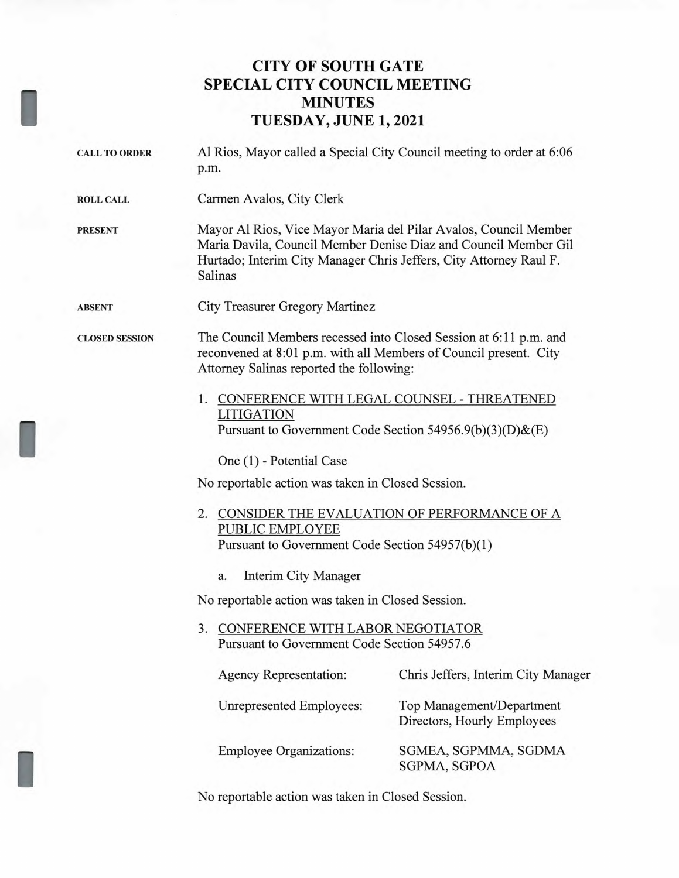## **CITY OF SOUTH GATE SPECIAL CITY COUNCIL MEETING MINUTES TUESDAY, JUNE 1, 2021**

| <b>CALL TO ORDER</b>  | Al Rios, Mayor called a Special City Council meeting to order at 6:06<br>p.m.                                                                                                                                        |                                                          |
|-----------------------|----------------------------------------------------------------------------------------------------------------------------------------------------------------------------------------------------------------------|----------------------------------------------------------|
| <b>ROLL CALL</b>      | Carmen Avalos, City Clerk                                                                                                                                                                                            |                                                          |
| <b>PRESENT</b>        | Mayor Al Rios, Vice Mayor Maria del Pilar Avalos, Council Member<br>Maria Davila, Council Member Denise Diaz and Council Member Gil<br>Hurtado; Interim City Manager Chris Jeffers, City Attorney Raul F.<br>Salinas |                                                          |
| <b>ABSENT</b>         | <b>City Treasurer Gregory Martinez</b>                                                                                                                                                                               |                                                          |
| <b>CLOSED SESSION</b> | The Council Members recessed into Closed Session at 6:11 p.m. and<br>reconvened at 8:01 p.m. with all Members of Council present. City<br>Attorney Salinas reported the following:                                   |                                                          |
|                       | 1. CONFERENCE WITH LEGAL COUNSEL - THREATENED<br><b>LITIGATION</b><br>Pursuant to Government Code Section 54956.9(b)(3)(D)&(E)                                                                                       |                                                          |
|                       | One (1) - Potential Case                                                                                                                                                                                             |                                                          |
|                       | No reportable action was taken in Closed Session.                                                                                                                                                                    |                                                          |
|                       | 2. CONSIDER THE EVALUATION OF PERFORMANCE OF A<br>PUBLIC EMPLOYEE<br>Pursuant to Government Code Section 54957(b)(1)                                                                                                 |                                                          |
|                       | Interim City Manager<br>a.                                                                                                                                                                                           |                                                          |
|                       | No reportable action was taken in Closed Session.                                                                                                                                                                    |                                                          |
|                       | CONFERENCE WITH LABOR NEGOTIATOR<br>3.<br>Pursuant to Government Code Section 54957.6                                                                                                                                |                                                          |
|                       | Agency Representation:                                                                                                                                                                                               | Chris Jeffers, Interim City Manager                      |
|                       | Unrepresented Employees:                                                                                                                                                                                             | Top Management/Department<br>Directors, Hourly Employees |
|                       | <b>Employee Organizations:</b>                                                                                                                                                                                       | SGMEA, SGPMMA, SGDMA<br>SGPMA, SGPOA                     |

No reportable action was taken in Closed Session.